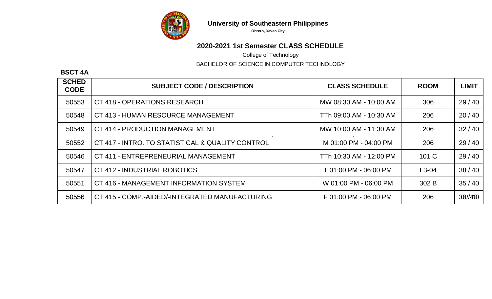

**University of Southeastern Philippines**

**Obrero, Davao City**

## **2020-2021 1st Semester CLASS SCHEDULE**

College of Technology

BACHELOR OF SCIENCE IN COMPUTER TECHNOLOGY

## **BSCT 4A**

| <b>SCHED</b><br><b>CODE</b> | <b>SUBJECT CODE / DESCRIPTION</b>                | <b>CLASS SCHEDULE</b>   | <b>ROOM</b> | <b>LIMIT</b> |
|-----------------------------|--------------------------------------------------|-------------------------|-------------|--------------|
| 50553                       | CT 418 - OPERATIONS RESEARCH                     | MW 08:30 AM - 10:00 AM  | 306         | 29/40        |
| 50548                       | CT 413 - HUMAN RESOURCE MANAGEMENT               | TTh 09:00 AM - 10:30 AM | 206         | 20/40        |
| 50549                       | CT 414 - PRODUCTION MANAGEMENT                   | MW 10:00 AM - 11:30 AM  | 206         | 32/40        |
| 50552                       | CT 417 - INTRO. TO STATISTICAL & QUALITY CONTROL | M 01:00 PM - 04:00 PM   | 206         | 29/40        |
| 50546                       | CT 411 - ENTREPRENEURIAL MANAGEMENT              | TTh 10:30 AM - 12:00 PM | 101 C       | 29/40        |
| 50547                       | CT 412 - INDUSTRIAL ROBOTICS                     | T 01:00 PM - 06:00 PM   | $L3-04$     | 38/40        |
| 50551                       | CT 416 - MANAGEMENT INFORMATION SYSTEM           | W 01:00 PM - 06:00 PM   | 302 B       | 35/40        |
| 50556                       | CT 415 - COMP.-AIDED/-INTEGRATED MANUFACTURING   | F 01:00 PM - 06:00 PM   | 206         | 38//400      |